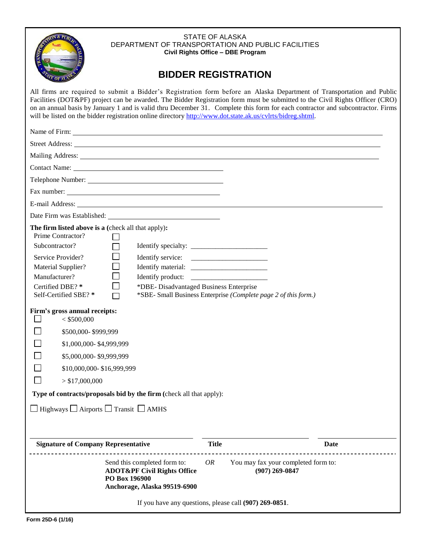

#### STATE OF ALASKA DEPARTMENT OF TRANSPORTATION AND PUBLIC FACILITIES **Civil Rights Office – DBE Program**

# **BIDDER REGISTRATION**

All firms are required to submit a Bidder's Registration form before an Alaska Department of Transportation and Public Facilities (DOT&PF) project can be awarded. The Bidder Registration form must be submitted to the Civil Rights Officer (CRO) on an annual basis by January 1 and is valid thru December 31. Complete this form for each contractor and subcontractor. Firms will be listed on the bidder registration online directory [http://www.dot.state.ak.us/cvlrts/bidreg.shtml.](http://www.dot.state.ak.us/cvlrts/bidreg.shtml)

| Telephone Number:                                                                                                                                                                                                                                                                                                                                                                                                                                                                                  |              |                                                                 |      |  |  |  |
|----------------------------------------------------------------------------------------------------------------------------------------------------------------------------------------------------------------------------------------------------------------------------------------------------------------------------------------------------------------------------------------------------------------------------------------------------------------------------------------------------|--------------|-----------------------------------------------------------------|------|--|--|--|
|                                                                                                                                                                                                                                                                                                                                                                                                                                                                                                    |              |                                                                 |      |  |  |  |
|                                                                                                                                                                                                                                                                                                                                                                                                                                                                                                    |              |                                                                 |      |  |  |  |
|                                                                                                                                                                                                                                                                                                                                                                                                                                                                                                    |              |                                                                 |      |  |  |  |
| The firm listed above is a (check all that apply):<br>Prime Contractor?<br>Subcontractor?<br>Service Provider?<br>Material Supplier?<br>Manufacturer?<br>Certified DBE? *<br>*DBE- Disadvantaged Business Enterprise<br>Self-Certified SBE? *<br>Firm's gross annual receipts:<br>$<$ \$500,000<br>\$500,000-\$999,999<br>\$1,000,000-\$4,999,999<br>\$5,000,000-\$9,999,999<br>\$10,000,000-\$16,999,999<br>> \$17,000,000<br>Type of contracts/proposals bid by the firm (check all that apply): |              | *SBE- Small Business Enterprise (Complete page 2 of this form.) |      |  |  |  |
| $\Box$ Highways $\Box$ Airports $\Box$ Transit $\Box$ AMHS                                                                                                                                                                                                                                                                                                                                                                                                                                         |              |                                                                 |      |  |  |  |
|                                                                                                                                                                                                                                                                                                                                                                                                                                                                                                    |              |                                                                 |      |  |  |  |
| <b>Signature of Company Representative</b>                                                                                                                                                                                                                                                                                                                                                                                                                                                         | <b>Title</b> |                                                                 | Date |  |  |  |
| Send this completed form to:<br><b>ADOT&amp;PF Civil Rights Office</b><br>PO Box 196900<br>Anchorage, Alaska 99519-6900                                                                                                                                                                                                                                                                                                                                                                            | OR           | You may fax your completed form to:<br>$(907)$ 269-0847         |      |  |  |  |
| If you have any questions, please call (907) 269-0851.                                                                                                                                                                                                                                                                                                                                                                                                                                             |              |                                                                 |      |  |  |  |